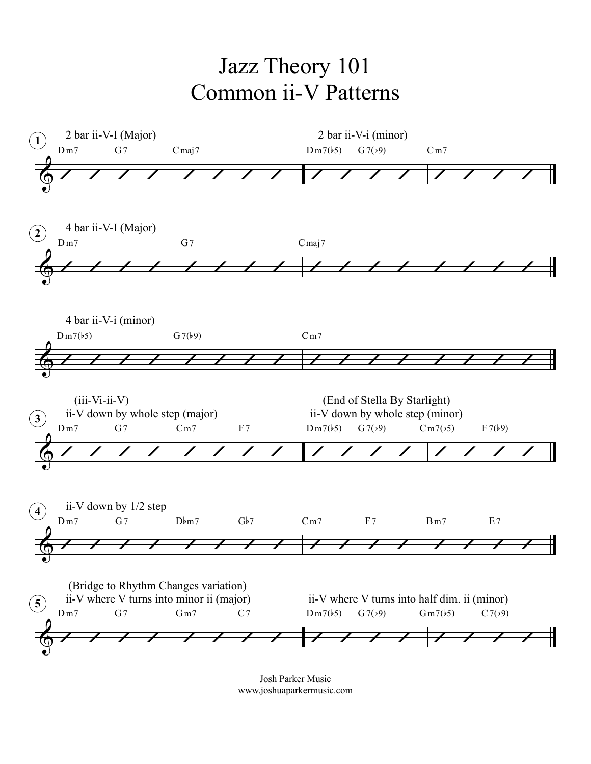## Jazz Theory 101 Common ii-V Patterns



Josh Parker Music www.joshuaparkermusic.com